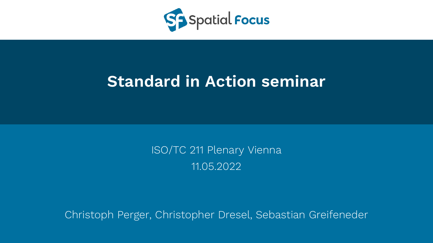

## **Standard in Action seminar**

ISO/TC 211 Plenary Vienna 11.05.2022

Christoph Perger, Christopher Dresel, Sebastian Greifeneder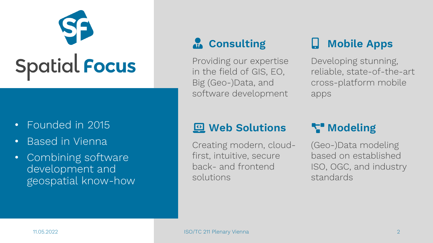# Spatial Focus

#### • Founded in 2015

- Based in Vienna
- Combining software development and geospatial know-how

## *Consulting*

Providing our expertise in the field of GIS, EO, Big (Geo-)Data, and software development

## **Mobile Apps**

Developing stunning, reliable, state-of-the-art cross-platform mobile apps

#### **Web Solutions**

Creating modern, cloudfirst, intuitive, secure back- and frontend solutions

## **Modeling**

(Geo-)Data modeling based on established ISO, OGC, and industry standards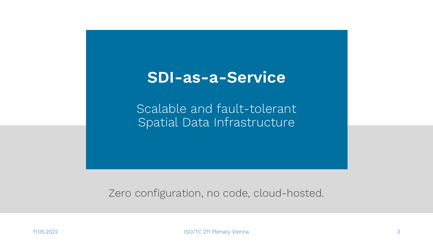## **SDI-as-a-Service**

Scalable and fault-tolerant Spatial Data Infrastructure

#### Zero configuration, no code, cloud-hosted.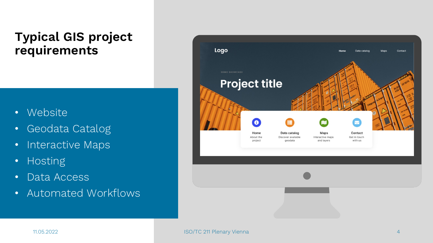## **Typical GIS project requirements**

- Website
- Geodata Catalog
- Interactive Maps
- Hosting
- Data Access
- Automated Workflows

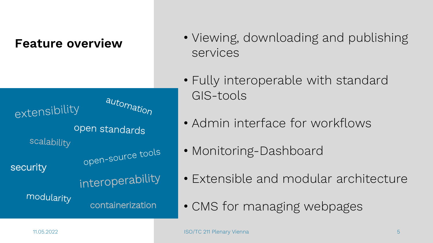#### **Feature overview**

automation extensibility open standards scalability open-source tools security interoperability modularity **containerization** 

- Viewing, downloading and publishing services
- Fully interoperable with standard GIS-tools
- Admin interface for workflows
- Monitoring-Dashboard
- Extensible and modular architecture
- CMS for managing webpages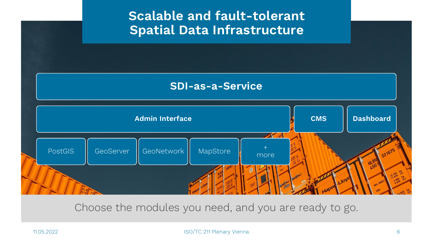## **Scalable and fault-tolerant Spatial Data Infrastructure**

#### **SDI-as-a-Service**



Choose the modules you need, and you are ready to go.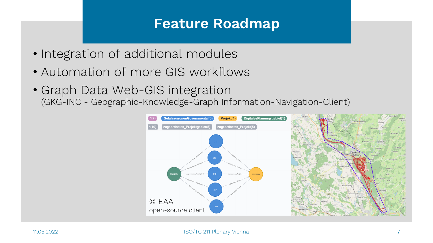## **Feature Roadmap**

- Integration of additional modules
- Automation of more GIS workflows
- Graph Data Web-GIS integration (GKG-INC - Geographic-Knowledge-Graph Information-Navigation-Client)